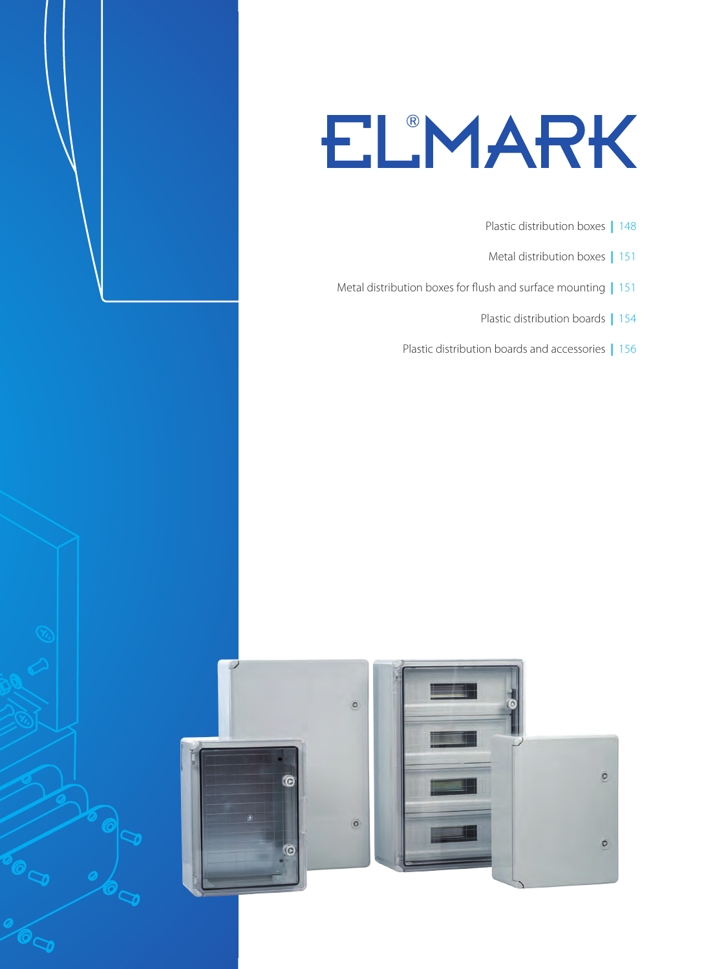# ELMARK

- Plastic distribution boxes **|** 148
- Metal distribution boxes **|** 151
- Metal distribution boxes for flush and surface mounting **|** 151
	- Plastic distribution boards **|** 154
	- Plastic distribution boards and accessories **|** 156

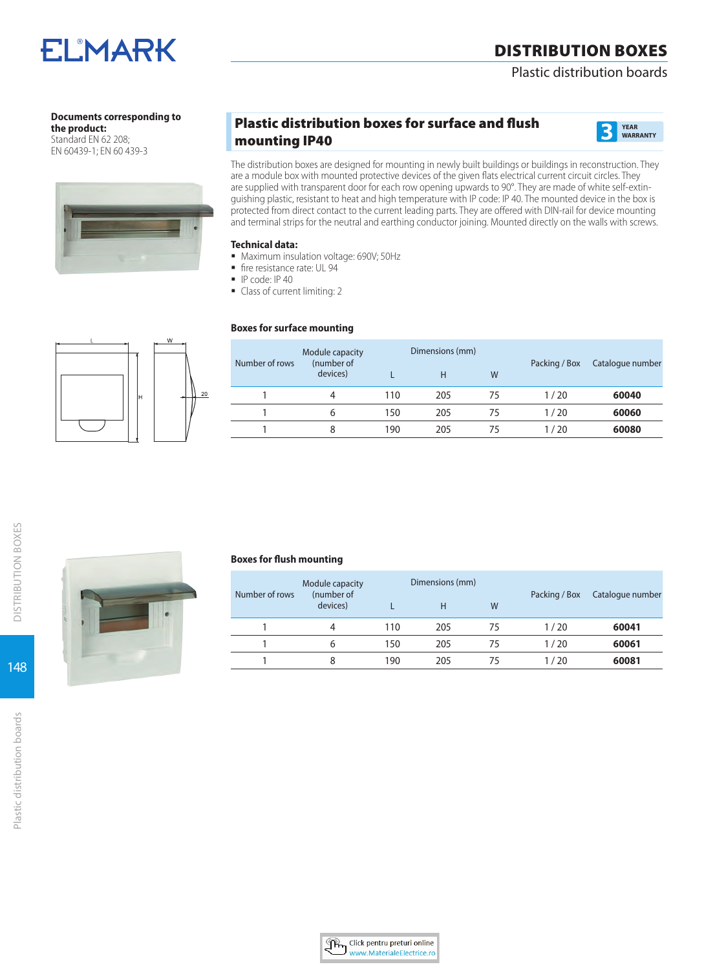# Plastic distribution boards

# **Documents corresponding to**

**ELMARK** 

**the product:**  Standard EN 62 208: EN 60439-1; EN 60 439-3



# Plastic distribution boxes for surface and flush mounting IP40 **3 YEAR**



The distribution boxes are designed for mounting in newly built buildings or buildings in reconstruction. They are a module box with mounted protective devices of the given flats electrical current circuit circles. They are supplied with transparent door for each row opening upwards to 90°. They are made of white self-extinguishing plastic, resistant to heat and high temperature with IP code: IP 40. The mounted device in the box is protected from direct contact to the current leading parts. They are offered with DIN-rail for device mounting and terminal strips for the neutral and earthing conductor joining. Mounted directly on the walls with screws.

### **Technical data:**

- **Maximum insulation voltage: 690V; 50Hz**
- fire resistance rate: UL 94
- **IP code: IP 40**
- Class of current limiting: 2

### **Boxes for surface mounting**

| Number of rows | Module capacity<br>(number of |     | Dimensions (mm) |    | Packing / Box | Catalogue number |
|----------------|-------------------------------|-----|-----------------|----|---------------|------------------|
|                | devices)                      |     | Н               | W  |               |                  |
|                | 4                             | 110 | 205             | 75 | 1/20          | 60040            |
|                | b                             | 150 | 205             | 75 | 1/20          | 60060            |
|                | 8                             | 190 | 205             | 75 | 1/20          | 60080            |



| ar children |  |  |  |
|-------------|--|--|--|
|             |  |  |  |

#### **Boxes for flush mounting**

| Number of rows | Module capacity<br>(number of |     | Dimensions (mm) |             | Packing / Box | Catalogue number |
|----------------|-------------------------------|-----|-----------------|-------------|---------------|------------------|
|                | devices)                      |     | H               | W           |               |                  |
|                |                               | 110 | 205             | 75          | 1/20          | 60041            |
|                | h                             | 150 | 205             | 75          | 1/20          | 60061            |
|                |                               | 190 | 205             | $^{\prime}$ | 1/20          | 60081            |

148

DISTRIBUTION BOXES

**DISTRIBUTION BOXES** 

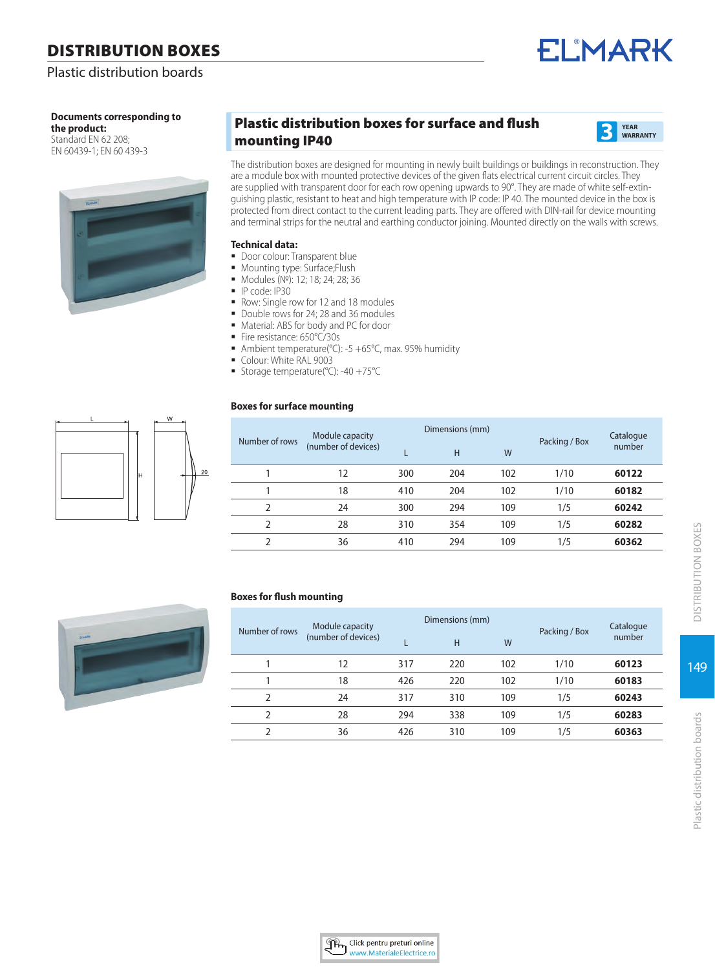# Plastic distribution boards

# **Documents corresponding to**

**the product:**  Standard EN 62 208: EN 60439-1; EN 60 439-3



# Plastic distribution boxes for surface and flush mounting IP40 **3 YEAR**



**ELMARK** 

The distribution boxes are designed for mounting in newly built buildings or buildings in reconstruction. They are a module box with mounted protective devices of the given flats electrical current circuit circles. They are supplied with transparent door for each row opening upwards to 90°. They are made of white self-extinguishing plastic, resistant to heat and high temperature with IP code: IP 40. The mounted device in the box is protected from direct contact to the current leading parts. They are offered with DIN-rail for device mounting and terminal strips for the neutral and earthing conductor joining. Mounted directly on the walls with screws.

#### **Technical data:**

- Door colour: Transparent blue
- **Mounting type: Surface;Flush**
- Modules (№): 12; 18; 24; 28; 36
- IP code: IP30
- Row: Single row for 12 and 18 modules
- Double rows for 24: 28 and 36 modules
- Material: ABS for body and PC for door
- Fire resistance: 650°C/30s
- Ambient temperature( $°C$ ): -5 +65 $°C$ , max. 95% humidity
- Colour: White RAL 9003
- Storage temperature(°C): -40 +75°C

### **Boxes for surface mounting**

| п. |   | W  |
|----|---|----|
|    | H | 20 |

|                     |                 |     |                 |      | Catalogue                         |
|---------------------|-----------------|-----|-----------------|------|-----------------------------------|
| (number of devices) |                 | H   | W               |      | number<br>60122<br>60182<br>60242 |
| 12                  | 300             | 204 | 102             | 1/10 |                                   |
| 18                  | 410             | 204 | 102             | 1/10 |                                   |
| 24                  | 300             | 294 | 109             | 1/5  |                                   |
| 28                  | 310             | 354 | 109             | 1/5  | 60282                             |
| 36                  | 410             | 294 | 109             | 1/5  | 60362                             |
|                     | Module capacity |     | Dimensions (mm) |      | Packing / Box                     |

#### **Boxes for flush mounting**

|                | Module capacity     |     | Dimensions (mm) |     |               | Catalogue |
|----------------|---------------------|-----|-----------------|-----|---------------|-----------|
| Number of rows | (number of devices) |     | H               | W   | Packing / Box | number    |
|                | 12                  | 317 | 220             | 102 | 1/10          | 60123     |
|                | 18                  | 426 | 220             | 102 | 1/10          | 60183     |
| 2              | 24                  | 317 | 310             | 109 | 1/5           | 60243     |
| $\mathcal{P}$  | 28                  | 294 | 338             | 109 | 1/5           | 60283     |
|                | 36                  | 426 | 310             | 109 | 1/5           | 60363     |

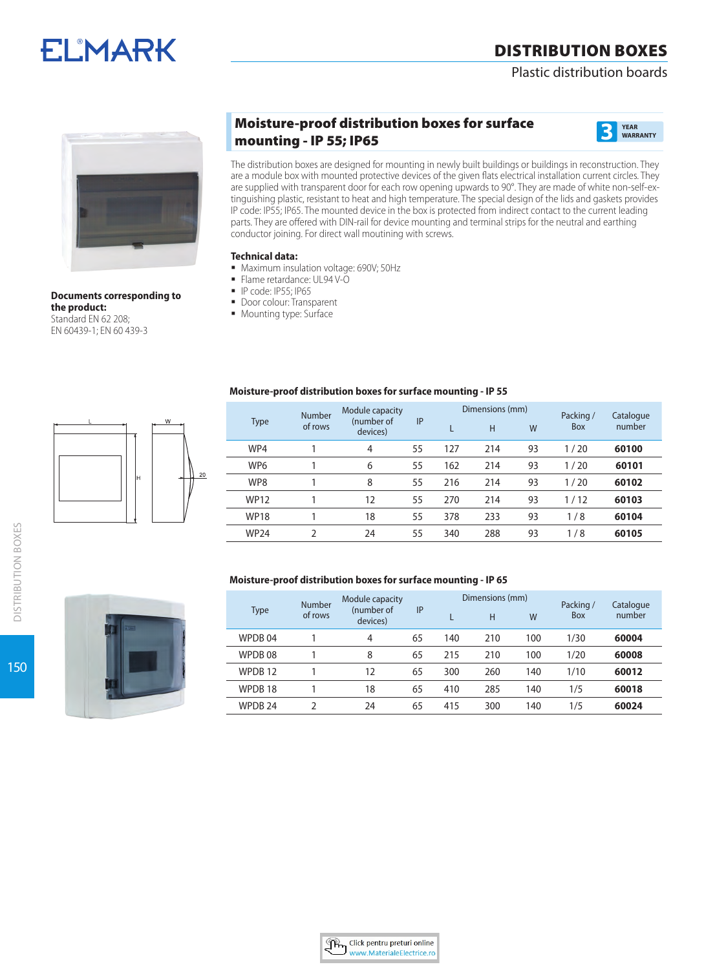# Plastic distribution boards





**Documents corresponding to the product:**  Standard EN 62 208; EN 60439-1; EN 60 439-3

# Moisture-proof distribution boxes for surface mounting - IP 55; IP65 **3 YEAR**



The distribution boxes are designed for mounting in newly built buildings or buildings in reconstruction. They are a module box with mounted protective devices of the given flats electrical installation current circles. They are supplied with transparent door for each row opening upwards to 90°. They are made of white non-self-extinguishing plastic, resistant to heat and high temperature. The special design of the lids and gaskets provides IP code: IP55; IP65. The mounted device in the box is protected from indirect contact to the current leading parts. They are offered with DIN-rail for device mounting and terminal strips for the neutral and earthing conductor joining. For direct wall moutining with screws.

# **Technical data:**

- **Maximum insulation voltage: 690V; 50Hz**
- Flame retardance: UL94 V-O
- P code: IP55; IP65
- **Door colour: Transparent**
- **Mounting type: Surface**

### **Moisture-proof distribution boxes for surface mounting - IP 55**

|                 | Number  | Module capacity        |    |     | Dimensions (mm) |    | Packing /  | Catalogue |
|-----------------|---------|------------------------|----|-----|-----------------|----|------------|-----------|
| <b>Type</b>     | of rows | (number of<br>devices) | IP |     | H               | W  | <b>Box</b> | number    |
| WP4             |         | 4                      | 55 | 127 | 214             | 93 | 1/20       | 60100     |
| WP <sub>6</sub> |         | 6                      | 55 | 162 | 214             | 93 | 1/20       | 60101     |
| WP8             |         | 8                      | 55 | 216 | 214             | 93 | 1/20       | 60102     |
| <b>WP12</b>     |         | 12                     | 55 | 270 | 214             | 93 | 1/12       | 60103     |
| <b>WP18</b>     |         | 18                     | 55 | 378 | 233             | 93 | 1/8        | 60104     |
| <b>WP24</b>     | C       | 24                     | 55 | 340 | 288             | 93 | 1/8        | 60105     |

### **Moisture-proof distribution boxes for surface mounting - IP 65**

|                    | Number  | Module capacity        |    |     | Dimensions (mm) |     | Packing / | Catalogue |
|--------------------|---------|------------------------|----|-----|-----------------|-----|-----------|-----------|
| Type               | of rows | (number of<br>devices) | IP |     | H               | W   | Box       | number    |
| WPDB 04            |         | 4                      | 65 | 140 | 210             | 100 | 1/30      | 60004     |
| WPDB08             |         | 8                      | 65 | 215 | 210             | 100 | 1/20      | 60008     |
| WPDB <sub>12</sub> |         | 12                     | 65 | 300 | 260             | 140 | 1/10      | 60012     |
| WPDB <sub>18</sub> |         | 18                     | 65 | 410 | 285             | 140 | 1/5       | 60018     |
| WPDB <sub>24</sub> |         | 24                     | 65 | 415 | 300             | 140 | 1/5       | 60024     |



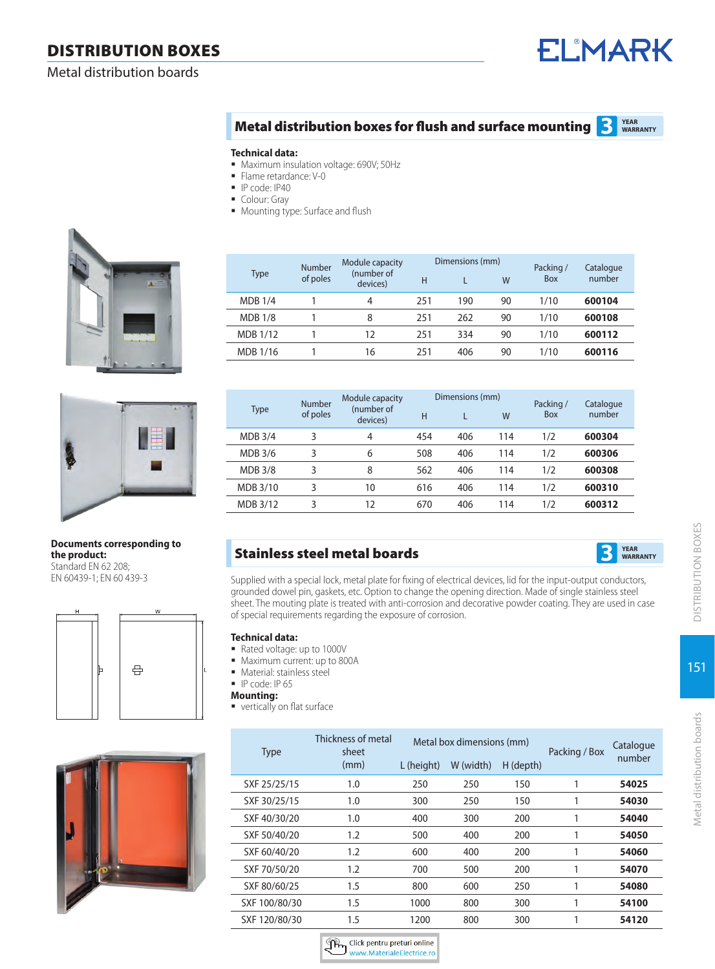Metal distribution boards

# **ELMARK**

#### **Metal distribution boxes for flush and surface mounting <b>3 WARRANTY**

#### **Technical data:**

- Maximum insulation voltage: 690V; 50Hz
- Flame retardance: V-0
- IP code: IP40
- Colour: Gray
- **Mounting type: Surface and flush**





#### **Documents corresponding to the product:**  Standard EN 62 208: EN 60439-1; EN 60 439-3





| <b>Type</b>    | <b>Number</b><br>of poles | Module capacity<br>(number of<br>devices) | Н   | Dimensions (mm) | W  | Packing/<br>Box | Catalogue<br>number |
|----------------|---------------------------|-------------------------------------------|-----|-----------------|----|-----------------|---------------------|
| <b>MDB 1/4</b> |                           | 4                                         | 251 | 190             | 90 | 1/10            | 600104              |
| <b>MDB 1/8</b> |                           | 8                                         | 251 | 262             | 90 | 1/10            | 600108              |
| MDB 1/12       |                           | 12                                        | 251 | 334             | 90 | 1/10            | 600112              |
| MDB 1/16       |                           | 16                                        | 251 | 406             | 90 | 1/10            | 600116              |

| Type           | Number<br>of poles | Module capacity<br>(number of<br>devices) | н   | Dimensions (mm) | W   | Packing/<br><b>Box</b> | Catalogue<br>number |
|----------------|--------------------|-------------------------------------------|-----|-----------------|-----|------------------------|---------------------|
| <b>MDB 3/4</b> | 3                  | 4                                         | 454 | 406             | 114 | 1/2                    | 600304              |
| <b>MDB 3/6</b> | 3                  | 6                                         | 508 | 406             | 114 | 1/2                    | 600306              |
| <b>MDB 3/8</b> | 3                  | 8                                         | 562 | 406             | 114 | 1/2                    | 600308              |
| MDB 3/10       | 3                  | 10                                        | 616 | 406             | 114 | 1/2                    | 600310              |
| MDB 3/12       | 3                  | 12                                        | 670 | 406             | 114 | 1/2                    | 600312              |

# **Stainless steel metal boards**



Supplied with a special lock, metal plate for fixing of electrical devices, lid for the input-output conductors, grounded dowel pin, gaskets, etc. Option to change the opening direction. Made of single stainless steel sheet. The mouting plate is treated with anti-corrosion and decorative powder coating. They are used in case of special requirements regarding the exposure of corrosion.

# **Technical data:**

- Rated voltage: up to 1000V
- $\blacksquare$  Maximum current: up to 800A
- **Material: stainless steel**

**IP code: IP 65** 

- **Mounting:**
- vertically on flat surface

| <b>Type</b>   | Thickness of metal<br>sheet |            | Metal box dimensions (mm) |           | Packing / Box | Catalogue |
|---------------|-----------------------------|------------|---------------------------|-----------|---------------|-----------|
|               | (mm)                        | L (height) | W (width)                 | H (depth) |               | number    |
| SXF 25/25/15  | 1.0                         | 250        | 250                       | 150       |               | 54025     |
| SXF 30/25/15  | 1.0                         | 300        | 250                       | 150       |               | 54030     |
| SXF 40/30/20  | 1.0                         | 400        | 300                       | 200       |               | 54040     |
| SXF 50/40/20  | 1.2                         | 500        | 400                       | 200       | 1             | 54050     |
| SXF 60/40/20  | 1.2                         | 600        | 400                       | 200       |               | 54060     |
| SXF 70/50/20  | 1.2                         | 700        | 500                       | 200       | 1             | 54070     |
| SXF 80/60/25  | 1.5                         | 800        | 600                       | 250       |               | 54080     |
| SXF 100/80/30 | 1.5                         | 1000       | 800                       | 300       |               | 54100     |
| SXF 120/80/30 | 1.5                         | 1200       | 800                       | 300       | 1             | 54120     |

Click pentru preturi online<br>www.MaterialeElectrice.ro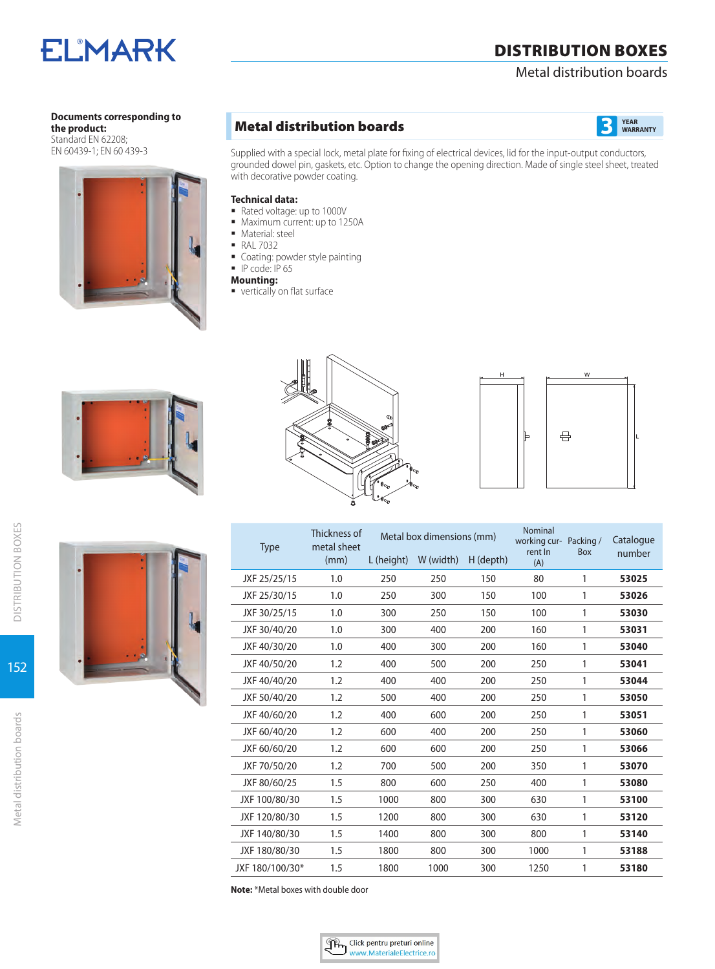# Metal distribution boards

# **Documents corresponding to**

**ELMARK** 

**the product:**  Standard EN 62208; EN 60439-1; EN 60 439-3



# **Metal distribution boards 3 B**



Supplied with a special lock, metal plate for fixing of electrical devices, lid for the input-output conductors, grounded dowel pin, gaskets, etc. Option to change the opening direction. Made of single steel sheet, treated with decorative powder coating.

### **Technical data:**

- Rated voltage: up to 1000V
- $\blacksquare$  Maximum current: up to 1250A
- **Material: steel**
- **RAL 7032**
- **Coating: powder style painting**
- $\blacksquare$  IP code: IP 65
- **Mounting:**
- vertically on flat surface







| <b>Type</b>     | Thickness of<br>metal sheet |            | Metal box dimensions (mm) |           |                | working cur- Packing / | Catalogue |
|-----------------|-----------------------------|------------|---------------------------|-----------|----------------|------------------------|-----------|
|                 | (mm)                        | L (height) | W (width)                 | H (depth) | rent In<br>(A) | <b>Box</b>             | number    |
| JXF 25/25/15    | 1.0                         | 250        | 250                       | 150       | 80             | 1                      | 53025     |
| JXF 25/30/15    | 1.0                         | 250        | 300                       | 150       | 100            | 1                      | 53026     |
| JXF 30/25/15    | 1.0                         | 300        | 250                       | 150       | 100            | 1                      | 53030     |
| JXF 30/40/20    | 1.0                         | 300        | 400                       | 200       | 160            | 1                      | 53031     |
| JXF 40/30/20    | 1.0                         | 400        | 300                       | 200       | 160            | 1                      | 53040     |
| JXF 40/50/20    | 1.2                         | 400        | 500                       | 200       | 250            | 1                      | 53041     |
| JXF 40/40/20    | 1.2                         | 400        | 400                       | 200       | 250            | 1                      | 53044     |
| JXF 50/40/20    | 1.2                         | 500        | 400                       | 200       | 250            | 1                      | 53050     |
| JXF 40/60/20    | 1.2                         | 400        | 600                       | 200       | 250            | 1                      | 53051     |
| JXF 60/40/20    | 1.2                         | 600        | 400                       | 200       | 250            | 1                      | 53060     |
| JXF 60/60/20    | 1.2                         | 600        | 600                       | 200       | 250            | 1                      | 53066     |
| JXF 70/50/20    | 1.2                         | 700        | 500                       | 200       | 350            | 1                      | 53070     |
| JXF 80/60/25    | 1.5                         | 800        | 600                       | 250       | 400            | 1                      | 53080     |
| JXF 100/80/30   | 1.5                         | 1000       | 800                       | 300       | 630            | 1                      | 53100     |
| JXF 120/80/30   | 1.5                         | 1200       | 800                       | 300       | 630            | 1                      | 53120     |
| JXF 140/80/30   | 1.5                         | 1400       | 800                       | 300       | 800            | 1                      | 53140     |
| JXF 180/80/30   | 1.5                         | 1800       | 800                       | 300       | 1000           | 1                      | 53188     |
| JXF 180/100/30* | 1.5                         | 1800       | 1000                      | 300       | 1250           | 1                      | 53180     |

**Note:** \*Metal boxes with double door

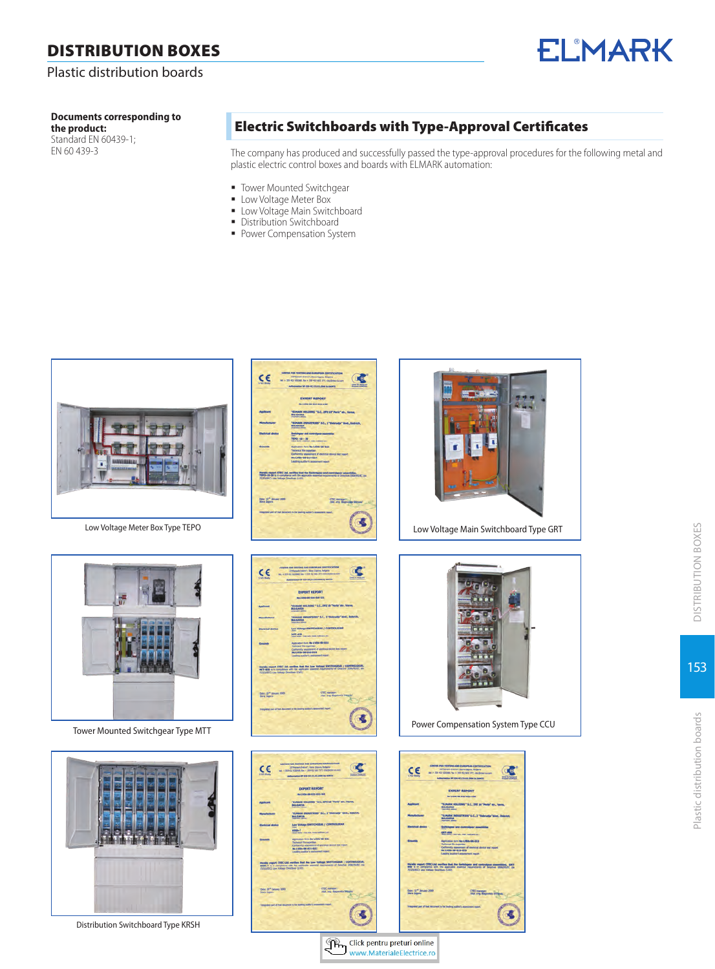# Plastic distribution boards

# **Documents corresponding to**

**the product:**  Standard EN 60439-1; EN 60 439-3

# Electric Switchboards with Type-Approval Certificates

The company has produced and successfully passed the type-approval procedures for the following metal and plastic electric control boxes and boards with ELMARK automation:

**ELMARK** 

- **Tower Mounted Switchgear**
- **Low Voltage Meter Box**
- **Low Voltage Main Switchboard**

C

Distribution Switchboard **Power Compensation System** 



| <b>EXPERT REPORT</b><br>------------<br>"ELMARK HOLDENG " S.C., 2PE 18" Peris" etc., Verna,<br>BULGARDA<br>"ELHARK INDUSTRIES" S.C., 2 "Detrodje" tres, Detroit,<br>Bulgaria<br>ar and controls<br>1970-00-29<br>Appleasan form No LVDG-08-214<br><b>Inchesize file expert</b><br>Centeredy appearanced of electrical development report<br>Min LVDD-08-014-014<br>Landing auditor's assessment report<br>Haroly report CTEC Ltd. serifies that the Euritospan and controlpant assumiding.<br>TEPO-10-20 a in completes with the approximate concent regulations of interior 2004/91/EC (as<br>TEPINEC) can hange Develops (USS).<br>Date: 13 <sup>th</sup> January 2009<br>Sizes Zannon<br>CTIC manager:<br>Afat any linguage brev<br>at particulars of vetters growd with at thermoded built for free for                                                                                                                                                                                                                                                                                                                                                                                                                                                                                                                                                                                     | Low Voltage Main Switchboard Type GRT                                                                                                                                                                                                                                                                                                                                                                                                                                                                                                                                                                                                                                                                                                                                                                                                                                                                                                                                                                                                                                                                                                                                                                                                                                                                                                                 |
|-------------------------------------------------------------------------------------------------------------------------------------------------------------------------------------------------------------------------------------------------------------------------------------------------------------------------------------------------------------------------------------------------------------------------------------------------------------------------------------------------------------------------------------------------------------------------------------------------------------------------------------------------------------------------------------------------------------------------------------------------------------------------------------------------------------------------------------------------------------------------------------------------------------------------------------------------------------------------------------------------------------------------------------------------------------------------------------------------------------------------------------------------------------------------------------------------------------------------------------------------------------------------------------------------------------------------------------------------------------------------------------------------|-------------------------------------------------------------------------------------------------------------------------------------------------------------------------------------------------------------------------------------------------------------------------------------------------------------------------------------------------------------------------------------------------------------------------------------------------------------------------------------------------------------------------------------------------------------------------------------------------------------------------------------------------------------------------------------------------------------------------------------------------------------------------------------------------------------------------------------------------------------------------------------------------------------------------------------------------------------------------------------------------------------------------------------------------------------------------------------------------------------------------------------------------------------------------------------------------------------------------------------------------------------------------------------------------------------------------------------------------------|
|                                                                                                                                                                                                                                                                                                                                                                                                                                                                                                                                                                                                                                                                                                                                                                                                                                                                                                                                                                                                                                                                                                                                                                                                                                                                                                                                                                                                 |                                                                                                                                                                                                                                                                                                                                                                                                                                                                                                                                                                                                                                                                                                                                                                                                                                                                                                                                                                                                                                                                                                                                                                                                                                                                                                                                                       |
| $\begin{minipage}{0.9\textwidth} \begin{tabular}{l} \textbf{C} \textbf{D} \textbf{S} \textbf{D} \textbf{B} \textbf{D} \textbf{B} \textbf{D} \textbf{B} \textbf{D} \textbf{B} \textbf{D} \textbf{B} \textbf{D} \textbf{D} \textbf{D} \textbf{D} \textbf{D} \textbf{D} \textbf{D} \textbf{D} \textbf{D} \textbf{D} \textbf{D} \textbf{D} \textbf{D} \textbf{D} \textbf{D} \textbf{D} \textbf{D} \textbf{D} \textbf{D} \textbf{D}$<br>$C \in$<br>Œ<br>Automotive Mr ESE (EQ) LAS 2006 by Govern<br>EXPERT REPORT<br>-------------<br>"ELMARK HOLDENG" S.C., 2PE 38 "Parts" ats., Verma, BULGAREA<br>"ILINAIS DIDUNTIES" S.C., 3 "DUNNIES" MM, DUNNIE,<br>BULGARIA<br><b>Turner</b><br>Low Yorkuga SWETCHGEAR / CONTROLSEAR<br>cal device<br><b>HTT-630</b><br>pythostics from No LVDIs-06-028<br>Infrased The expertise<br>Tashamiy pasawort of distincal down hot report<br>Sia LVDD-DE-QLG-EER<br>Limiteg-additr's pointment report<br>Hereby report CTRC Ltd., welfare that the Lee Hubspr DWTCHGEAR, y CONTROLLEAU, WITH A Re in completed with the applicable numeral magnetonical of Descript 2004/6/412 (m 1/232/872) Law Roburg Descripts (2017)<br>Date: 20 <sup>m</sup> Senary 2009<br>Stare Depos<br>CTEC manager:<br>7001-1118 September Transfer<br>of the dancest a the more autor's an                                                                                              | ш<br>в<br>i6<br>Power Compensation System Type CCU                                                                                                                                                                                                                                                                                                                                                                                                                                                                                                                                                                                                                                                                                                                                                                                                                                                                                                                                                                                                                                                                                                                                                                                                                                                                                                    |
|                                                                                                                                                                                                                                                                                                                                                                                                                                                                                                                                                                                                                                                                                                                                                                                                                                                                                                                                                                                                                                                                                                                                                                                                                                                                                                                                                                                                 |                                                                                                                                                                                                                                                                                                                                                                                                                                                                                                                                                                                                                                                                                                                                                                                                                                                                                                                                                                                                                                                                                                                                                                                                                                                                                                                                                       |
| $\begin{array}{l} \textbf{CINRMS} \textbf{ POM} \textbf{ MMS} \textbf{ DMS} \textbf{ AMB} \textbf{ DMSO} \textbf{ LMS} \textbf{ CIRID} \textbf{ DMSO} \textbf{ SMB} \\ \textbf{CPMB} \textbf{ DMSO} \textbf{ CMBO} \textbf{ A} \textbf{ DMSO} \textbf{ DMSO} \textbf{ SMBO} \textbf{ SMBO} \textbf{ SMBO} \textbf{ SMBO} \textbf{ SMBO} \textbf{ SMBO} \textbf{ SMBO} \textbf{ SMBO} \textbf{ SMBO} \textbf{ SMBO} \textbf{ SMBO} \textbf$<br>CE<br>Œ<br>Authorization for although a A. A.S. Street by North<br><b>EXPERT REPORT</b><br>ALCOHOL:031-365<br>TENNISE HOLDING " S.C., 272 10 "Party" art, Varna,<br>Doldarda<br>"ELMAN DIOGETHER" S.C. 2 "Dolesdje" Med., Dolešk,<br>Bolganja<br><b>Berty</b><br>Low Voltage SWITCHSSAR / CONTROLSSAR<br><b>000-7</b><br>Maria Harrison Harrison<br>Approacher form the LVDS-08-021<br>Technical file expertise<br><b>Drawing</b><br>Carlisoniy assumes of geometric developed<br>No Little OE (EEL-022)<br>Leading author's material topics<br>meeting export CTBC Ltd. vertilies that the Lew Vallage SWYFCHGLAR / CONTROLSEAU, 4383-7 a.m. compared with the application exercise resonance of Greatist 2002/5072. Interpretational property of the application (2003).<br>CTIC names.<br>1004. aug Stagevolls Stephen<br>Date: 20 <sup>m</sup> January 2009<br>State Copies<br>alled part of that standment is the teaching assistant in<br>適 | $\begin{array}{ll} \textbf{CINMS} & \textbf{SOR} & \textbf{SINTSG} & \textbf{AAB} & \textbf{BABPRAA} & \textbf{CBATAPRAS} & \textbf{SABT} \\ \textbf{STPAC} & \textbf{STPAC} & \textbf{SAB} & \textbf{SAB} & \textbf{BAB} & \textbf{BAB} \\ \textbf{M} & \textbf{S} & \textbf{B} & \textbf{B} & \textbf{AAB} & \textbf{BAC} & \textbf{BAC} & \textbf{AAC} & \textbf{BAC} \\ \textbf{M} & \textbf{S} & \textbf{B} & \textbf{AAB}$<br>C€<br>$\alpha$<br><b>Authorization MF 634-04223, 455 2004 by Salerra</b><br><b>EXPERT REPORT</b><br>-------------<br>TELMANA MOLDONG " S.C., 2PE 10 "Parte" att., Vanua.<br>Biscoakta<br>"ELMARK DISUSTRIES" S.C. 2 "Districtly" Med., Districtly<br>BULGARIA<br><b>Deltsbyear and controlgear assembles</b><br>GR7-600 control non national at-<br>Application form No LMDs dat 213<br>Technical file expertise<br>Tourism by appearance of electrical device test report.<br>Ann LVGIs dill-015-015<br>Leading auditor's assessment report.<br>Haroly report CTDC Ltd. verifies that the Solicityane and controllean assembless, GET-<br>600 to a complexes with the application montal reportents of Depths 2006/05/7C (or 70,000 Depths)<br>Date: 12 <sup>4</sup> January 2009<br>Stare Zagora<br>CTEC manager<br>yied any diagnosius program<br>ed part of that document is the busing assitraty assess<br>颪 |



Distribution Switchboard Type KRSH

Tower Mounted Switchgear Type MTT

Click pentru preturi online<br>www.MaterialeElectrice.ro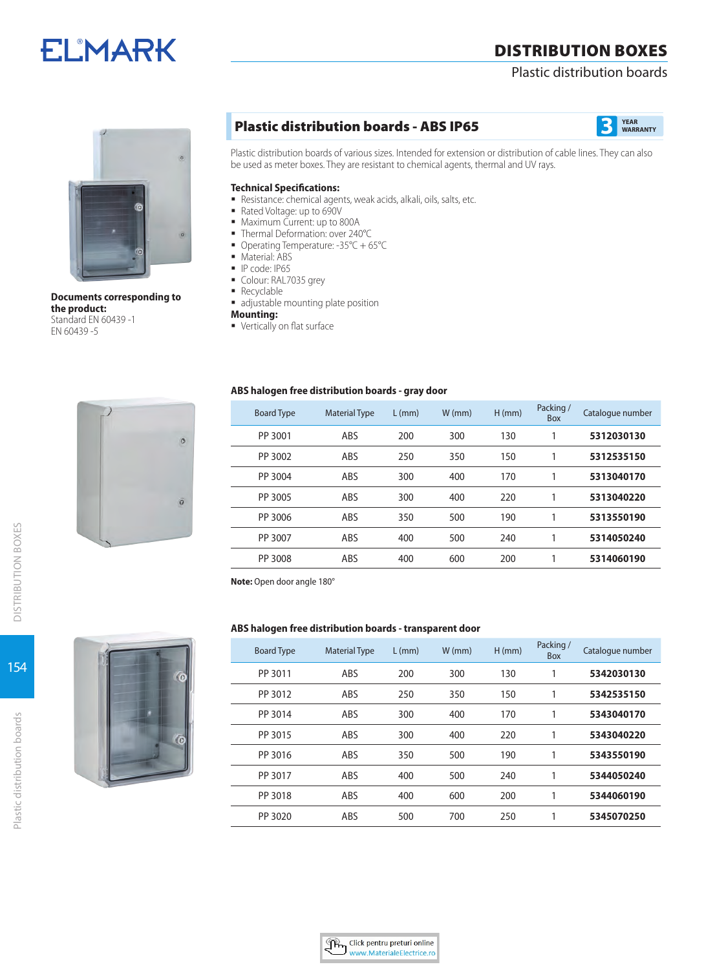# **ELMARK**

# DISTRIBUTION BOXES

# Plastic distribution boards



**Documents corresponding to the product:**  Standard EN 60439 -1 EN 60439 -5

# **Plastic distribution boards - ABS IP65 3**



Plastic distribution boards of various sizes. Intended for extension or distribution of cable lines. They can also be used as meter boxes. They are resistant to chemical agents, thermal and UV rays.

### **Technical Specifications:**

- Resistance: chemical agents, weak acids, alkali, oils, salts, etc.
- Rated Voltage: up to 690V
- **Maximum Current: up to 800A**
- Thermal Deformation: over 240°C
- Operating Temperature: -35°C + 65°C
- **Material: ABS**
- IP code: IP65
- Colour: RAL7035 grey
- Recyclable
- adjustable mounting plate position
- **Mounting:**

 $\overline{0}$ 

 $\sigma$ 

**vertically on flat surface** 

### **ABS halogen free distribution boards - gray door**

| <b>Board Type</b> | <b>Material Type</b> | $L$ (mm) | $W$ (mm) | $H$ (mm) | Packing /<br>Box | Catalogue number |
|-------------------|----------------------|----------|----------|----------|------------------|------------------|
| PP 3001           | ABS                  | 200      | 300      | 130      | 1                | 5312030130       |
| PP 3002           | ABS                  | 250      | 350      | 150      | 1                | 5312535150       |
| PP 3004           | ABS                  | 300      | 400      | 170      |                  | 5313040170       |
| PP 3005           | ABS                  | 300      | 400      | 220      | 1                | 5313040220       |
| PP 3006           | ABS                  | 350      | 500      | 190      | 1                | 5313550190       |
| PP 3007           | ABS                  | 400      | 500      | 240      | 1                | 5314050240       |
| PP 3008           | ABS                  | 400      | 600      | 200      | 1                | 5314060190       |

**Note:** Open door angle 180°

# **ABS halogen free distribution boards - transparent door**

| <b>Board Type</b> | <b>Material Type</b> | $L$ (mm) | $W$ (mm) | $H$ (mm) | Packing /<br>Box | Catalogue number |
|-------------------|----------------------|----------|----------|----------|------------------|------------------|
| PP 3011           | ABS                  | 200      | 300      | 130      |                  | 5342030130       |
| PP 3012           | ABS                  | 250      | 350      | 150      |                  | 5342535150       |
| PP 3014           | ABS                  | 300      | 400      | 170      | 1                | 5343040170       |
| PP 3015           | ABS                  | 300      | 400      | 220      | 1                | 5343040220       |
| PP 3016           | ABS                  | 350      | 500      | 190      |                  | 5343550190       |
| PP 3017           | ABS                  | 400      | 500      | 240      |                  | 5344050240       |
| PP 3018           | ABS                  | 400      | 600      | 200      |                  | 5344060190       |
| PP 3020           | ABS                  | 500      | 700      | 250      |                  | 5345070250       |



154

Plastic distribution boards

Plastic distribution boards

DISTRIBUTION BOXES

**DISTRIBUTION BOXES** 



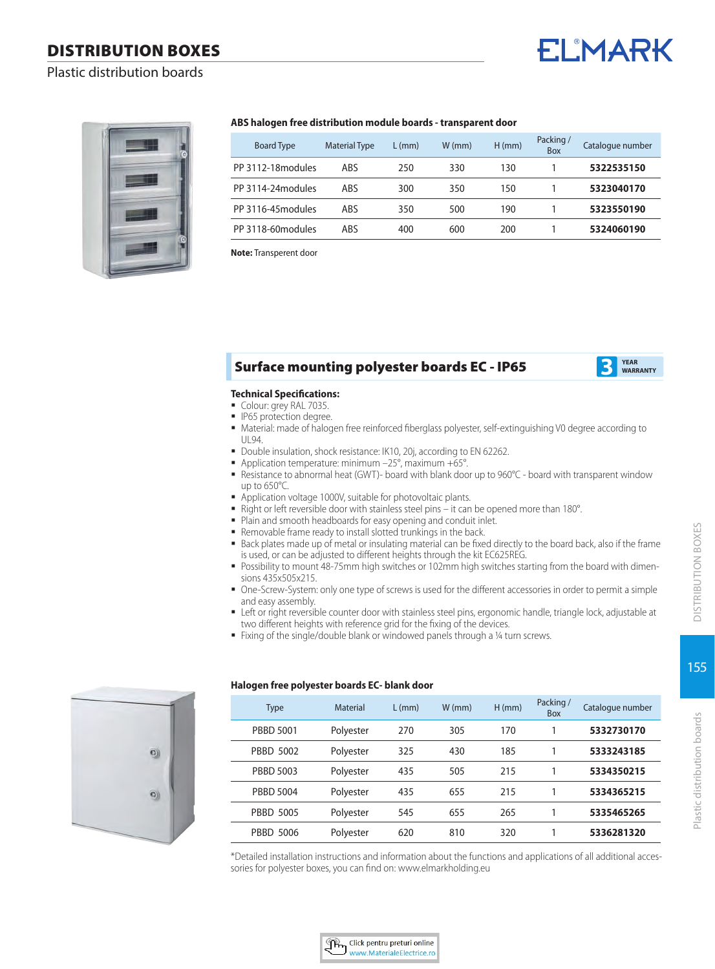# **ELMARK**

# Plastic distribution boards



#### **ABS halogen free distribution module boards - transparent door**

| <b>Board Type</b>  | <b>Material Type</b> | $L$ (mm) | $W$ (mm) | $H$ (mm) | Packing/<br><b>Box</b> | Catalogue number |
|--------------------|----------------------|----------|----------|----------|------------------------|------------------|
| PP 3112-18 modules | ABS                  | 250      | 330      | 130      |                        | 5322535150       |
| PP 3114-24 modules | ABS                  | 300      | 350      | 150      |                        | 5323040170       |
| PP 3116-45 modules | ABS                  | 350      | 500      | 190      |                        | 5323550190       |
| PP 3118-60 modules | ABS                  | 400      | 600      | 200      |                        | 5324060190       |

**Note:** Transperent door

# Surface mounting polyester boards EC - IP65



### **Technical Specifications:**

- Colour: grey RAL 7035.
- **IP65** protection degree.
- Material: made of halogen free reinforced fiberglass polyester, self-extinguishing V0 degree according to UL94.
- Double insulation, shock resistance: IK10, 20j, according to EN 62262.
- Application temperature: minimum –25°, maximum +65°.
- Resistance to abnormal heat (GWT)- board with blank door up to 960°C board with transparent window up to 650°C.
- Application voltage 1000V, suitable for photovoltaic plants.
- Right or left reversible door with stainless steel pins it can be opened more than 180°.
- **Plain and smooth headboards for easy opening and conduit inlet.**
- Removable frame ready to install slotted trunkings in the back.
- Back plates made up of metal or insulating material can be fixed directly to the board back, also if the frame is used, or can be adjusted to different heights through the kit EC625REG.
- Possibility to mount 48-75mm high switches or 102mm high switches starting from the board with dimensions 435x505x215.
- One-Screw-System: only one type of screws is used for the different accessories in order to permit a simple and easy assembly.
- **EXECT OF 1** Left or right reversible counter door with stainless steel pins, ergonomic handle, triangle lock, adjustable at two different heights with reference grid for the fixing of the devices.
- Fixing of the single/double blank or windowed panels through a ¼ turn screws.



# **Halogen free polyester boards EC- blank door**

| <b>Type</b>      | Material  | $L$ (mm) | $W$ (mm) | $H$ (mm) | Packing /<br><b>Box</b> | Catalogue number |
|------------------|-----------|----------|----------|----------|-------------------------|------------------|
| <b>PBBD 5001</b> | Polyester | 270      | 305      | 170      |                         | 5332730170       |
| PBBD 5002        | Polyester | 325      | 430      | 185      |                         | 5333243185       |
| <b>PBBD 5003</b> | Polyester | 435      | 505      | 215      |                         | 5334350215       |
| <b>PBBD 5004</b> | Polyester | 435      | 655      | 215      |                         | 5334365215       |
| <b>PBBD 5005</b> | Polyester | 545      | 655      | 265      |                         | 5335465265       |
| <b>PBBD 5006</b> | Polyester | 620      | 810      | 320      |                         | 5336281320       |

\*Detailed installation instructions and information about the functions and applications of all additional accessories for polyester boxes, you can find on: www.elmarkholding.eu

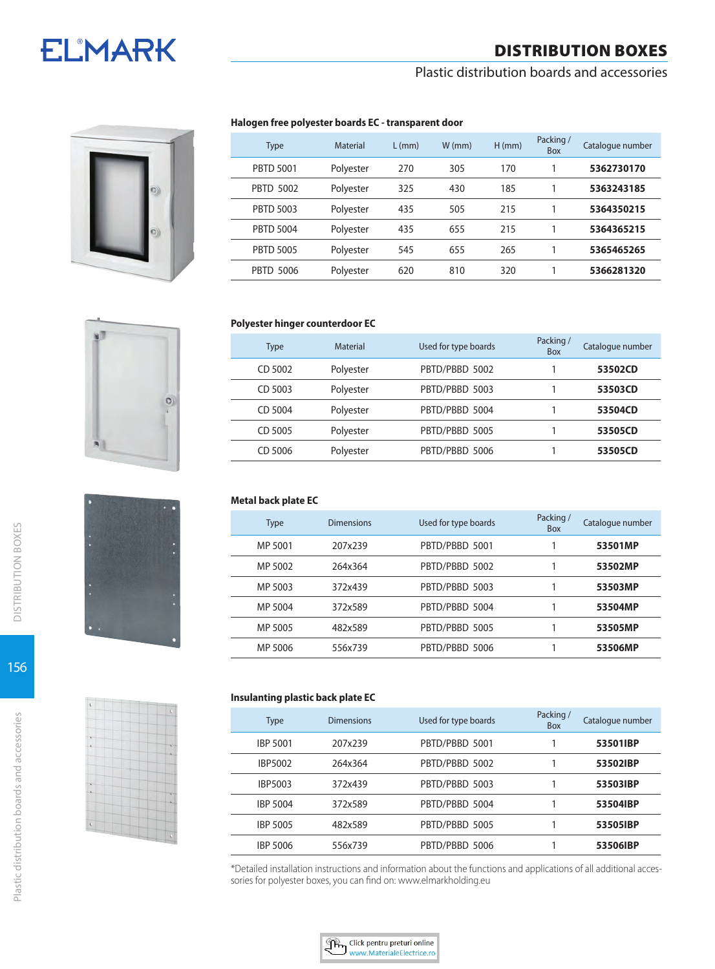# **ELMARK**

# DISTRIBUTION BOXES

# Plastic distribution boards and accessories



# **Halogen free polyester boards EC - transparent door**

| <b>Type</b>      | Material  | $L$ (mm) | $W$ (mm) | $H$ (mm) | Packing /<br><b>Box</b> | Catalogue number |
|------------------|-----------|----------|----------|----------|-------------------------|------------------|
| <b>PBTD 5001</b> | Polyester | 270      | 305      | 170      |                         | 5362730170       |
| <b>PBTD 5002</b> | Polyester | 325      | 430      | 185      |                         | 5363243185       |
| <b>PBTD 5003</b> | Polyester | 435      | 505      | 215      |                         | 5364350215       |
| <b>PBTD 5004</b> | Polyester | 435      | 655      | 215      |                         | 5364365215       |
| <b>PBTD 5005</b> | Polyester | 545      | 655      | 265      |                         | 5365465265       |
| <b>PBTD 5006</b> | Polyester | 620      | 810      | 320      |                         | 5366281320       |





# **Polyester hinger counterdoor EC**

| Material  | Used for type boards | Packing /<br><b>Box</b> | Catalogue number |
|-----------|----------------------|-------------------------|------------------|
| Polyester | PBTD/PBBD 5002       |                         | 53502CD          |
| Polyester | PBTD/PBBD 5003       |                         | 53503CD          |
| Polyester | PBTD/PBBD 5004       |                         | 53504CD          |
| Polyester | PBTD/PBBD 5005       |                         | 53505CD          |
| Polyester | PBTD/PBBD 5006       |                         | 53505CD          |
|           |                      |                         |                  |

# **Metal back plate EC**

| Type    | <b>Dimensions</b> | Used for type boards | Packing /<br><b>Box</b> | Catalogue number |
|---------|-------------------|----------------------|-------------------------|------------------|
| MP 5001 | 207x239           | PBTD/PBBD 5001       |                         | 53501MP          |
| MP 5002 | 264x364           | PBTD/PBBD 5002       |                         | 53502MP          |
| MP 5003 | 372x439           | PBTD/PBBD 5003       |                         | 53503MP          |
| MP 5004 | 372x589           | PBTD/PBBD 5004       |                         | 53504MP          |
| MP 5005 | 482x589           | PBTD/PBBD 5005       |                         | 53505MP          |
| MP 5006 | 556x739           | PBTD/PBBD 5006       |                         | 53506MP          |

### **Insulanting plastic back plate EC**

| Type            | Dimensions | Used for type boards | Packing /<br><b>Box</b> | Catalogue number |
|-----------------|------------|----------------------|-------------------------|------------------|
| <b>IBP 5001</b> | 207x239    | PBTD/PBBD 5001       |                         | 53501IBP         |
| <b>IBP5002</b>  | 264x364    | PBTD/PBBD 5002       |                         | 53502IBP         |
| <b>IBP5003</b>  | 372x439    | PBTD/PBBD 5003       |                         | 53503IBP         |
| <b>IBP 5004</b> | 372x589    | PBTD/PBBD 5004       |                         | 53504IBP         |
| <b>IBP 5005</b> | 482x589    | PBTD/PBBD 5005       |                         | 53505IBP         |
| IBP 5006        | 556x739    | PBTD/PBBD 5006       |                         | 53506IBP         |

\*Detailed installation instructions and information about the functions and applications of all additional accessories for polyester boxes, you can find on: www.elmarkholding.eu